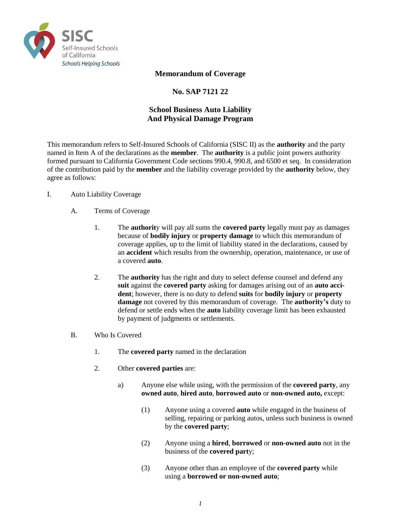

## **Memorandum of Coverage**

# **No. SAP 7121 22**

# **School Business Auto Liability And Physical Damage Program**

This memorandum refers to Self-Insured Schools of California (SISC II) as the **authority** and the party named in Item A of the declarations as the **member**. The **authority** is a public joint powers authority formed pursuant to California Government Code sections 990.4, 990.8, and 6500 et seq. In consideration of the contribution paid by the **member** and the liability coverage provided by the **authority** below, they agree as follows:

#### I. Auto Liability Coverage

- A. Terms of Coverage
	- 1. The **authorit**y will pay all sums the **covered party** legally must pay as damages because of **bodily injury** or **property damage** to which this memorandum of coverage applies, up to the limit of liability stated in the declarations, caused by an **accident** which results from the ownership, operation, maintenance, or use of a covered **auto**.
	- 2. The **authority** has the right and duty to select defense counsel and defend any **suit** against the **covered party** asking for damages arising out of an **auto accident**; however, there is no duty to defend **suits** for **bodily injury** or **property damage** not covered by this memorandum of coverage. The **authority's** duty to defend or settle ends when the **auto** liability coverage limit has been exhausted by payment of judgments or settlements.
- B. Who Is Covered
	- 1. The **covered party** named in the declaration
	- 2. Other **covered parties** are:
		- a) Anyone else while using, with the permission of the **covered party**, any **owned auto**, **hired auto**, **borrowed auto** or **non-owned auto,** except:
			- (1) Anyone using a covered **auto** while engaged in the business of selling, repairing or parking autos, unless such business is owned by the **covered party**;
			- (2) Anyone using a **hired**, **borrowed** or **non-owned auto** not in the business of the **covered part**y;
			- (3) Anyone other than an employee of the **covered party** while using a **borrowed or non-owned auto**;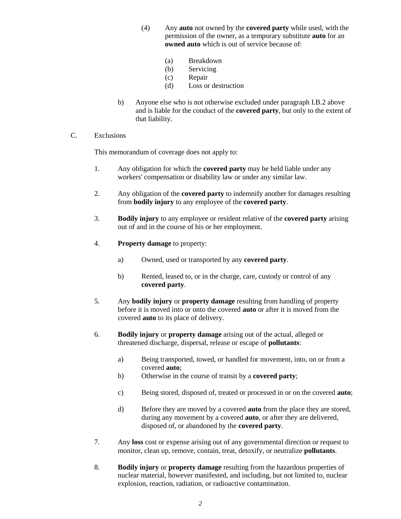- (4) Any **auto** not owned by the **covered party** while used, with the permission of the owner, as a temporary substitute **auto** for an **owned auto** which is out of service because of:
	- (a) Breakdown
	- (b) Servicing
	- (c) Repair
	- (d) Loss or destruction
- b) Anyone else who is not otherwise excluded under paragraph I.B.2 above and is liable for the conduct of the **covered party**, but only to the extent of that liability.
- C. Exclusions

This memorandum of coverage does not apply to:

- 1. Any obligation for which the **covered party** may be held liable under any workers' compensation or disability law or under any similar law.
- 2. Any obligation of the **covered party** to indemnify another for damages resulting from **bodily injury** to any employee of the **covered party**.
- 3. **Bodily injury** to any employee or resident relative of the **covered party** arising out of and in the course of his or her employment.
- 4. **Property damage** to property:
	- a) Owned, used or transported by any **covered party**.
	- b) Rented, leased to, or in the charge, care, custody or control of any **covered party**.
- 5. Any **bodily injury** or **property damage** resulting from handling of property before it is moved into or onto the covered **auto** or after it is moved from the covered **auto** to its place of delivery.
- 6. **Bodily injury** or **property damage** arising out of the actual, alleged or threatened discharge, dispersal, release or escape of **pollutants**:
	- a) Being transported, towed, or handled for movement, into, on or from a covered **auto**;
	- b) Otherwise in the course of transit by a **covered party**;
	- c) Being stored, disposed of, treated or processed in or on the covered **auto**;
	- d) Before they are moved by a covered **auto** from the place they are stored, during any movement by a covered **auto**, or after they are delivered, disposed of, or abandoned by the **covered party**.
- 7. Any **loss** cost or expense arising out of any governmental direction or request to monitor, clean up, remove, contain, treat, detoxify, or neutralize **pollutants**.
- 8. **Bodily injury** or **property damage** resulting from the hazardous properties of nuclear material, however manifested, and including, but not limited to, nuclear explosion, reaction, radiation, or radioactive contamination.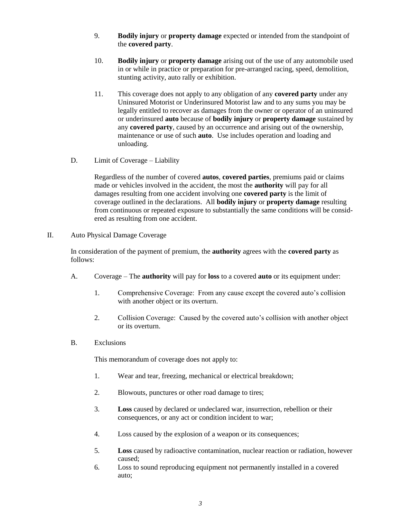- 9. **Bodily injury** or **property damage** expected or intended from the standpoint of the **covered party**.
- 10. **Bodily injury** or **property damage** arising out of the use of any automobile used in or while in practice or preparation for pre-arranged racing, speed, demolition, stunting activity, auto rally or exhibition.
- 11. This coverage does not apply to any obligation of any **covered party** under any Uninsured Motorist or Underinsured Motorist law and to any sums you may be legally entitled to recover as damages from the owner or operator of an uninsured or underinsured **auto** because of **bodily injury** or **property damage** sustained by any **covered party**, caused by an occurrence and arising out of the ownership, maintenance or use of such **auto**. Use includes operation and loading and unloading.
- D. Limit of Coverage Liability

Regardless of the number of covered **autos**, **covered parties**, premiums paid or claims made or vehicles involved in the accident, the most the **authority** will pay for all damages resulting from one accident involving one **covered party** is the limit of coverage outlined in the declarations. All **bodily injury** or **property damage** resulting from continuous or repeated exposure to substantially the same conditions will be considered as resulting from one accident.

II. Auto Physical Damage Coverage

In consideration of the payment of premium, the **authority** agrees with the **covered party** as follows:

- A. Coverage The **authority** will pay for **loss** to a covered **auto** or its equipment under:
	- 1. Comprehensive Coverage: From any cause except the covered auto's collision with another object or its overturn.
	- 2. Collision Coverage: Caused by the covered auto's collision with another object or its overturn.
- B. Exclusions

This memorandum of coverage does not apply to:

- 1. Wear and tear, freezing, mechanical or electrical breakdown;
- 2. Blowouts, punctures or other road damage to tires;
- 3. **Loss** caused by declared or undeclared war, insurrection, rebellion or their consequences, or any act or condition incident to war;
- 4. Loss caused by the explosion of a weapon or its consequences;
- 5. **Loss** caused by radioactive contamination, nuclear reaction or radiation, however caused;
- 6. Loss to sound reproducing equipment not permanently installed in a covered auto;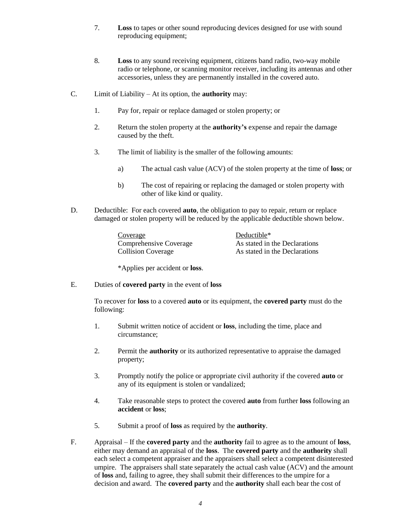- 7. **Loss** to tapes or other sound reproducing devices designed for use with sound reproducing equipment;
- 8. **Loss** to any sound receiving equipment, citizens band radio, two-way mobile radio or telephone, or scanning monitor receiver, including its antennas and other accessories, unless they are permanently installed in the covered auto.
- C. Limit of Liability At its option, the **authority** may:
	- 1. Pay for, repair or replace damaged or stolen property; or
	- 2. Return the stolen property at the **authority's** expense and repair the damage caused by the theft.
	- 3. The limit of liability is the smaller of the following amounts:
		- a) The actual cash value (ACV) of the stolen property at the time of **loss**; or
		- b) The cost of repairing or replacing the damaged or stolen property with other of like kind or quality.
- D. Deductible: For each covered **auto**, the obligation to pay to repair, return or replace damaged or stolen property will be reduced by the applicable deductible shown below.

| Coverage                  |
|---------------------------|
| Comprehensive Coverage    |
| <b>Collision Coverage</b> |

Deductible\* As stated in the Declarations As stated in the Declarations

\*Applies per accident or **loss**.

E. Duties of **covered party** in the event of **loss**

To recover for **loss** to a covered **auto** or its equipment, the **covered party** must do the following:

- 1. Submit written notice of accident or **loss**, including the time, place and circumstance;
- 2. Permit the **authority** or its authorized representative to appraise the damaged property;
- 3. Promptly notify the police or appropriate civil authority if the covered **auto** or any of its equipment is stolen or vandalized;
- 4. Take reasonable steps to protect the covered **auto** from further **loss** following an **accident** or **loss**;
- 5. Submit a proof of **loss** as required by the **authority**.
- F. Appraisal If the **covered party** and the **authority** fail to agree as to the amount of **loss**, either may demand an appraisal of the **loss**. The **covered party** and the **authority** shall each select a competent appraiser and the appraisers shall select a competent disinterested umpire. The appraisers shall state separately the actual cash value (ACV) and the amount of **loss** and, failing to agree, they shall submit their differences to the umpire for a decision and award. The **covered party** and the **authority** shall each bear the cost of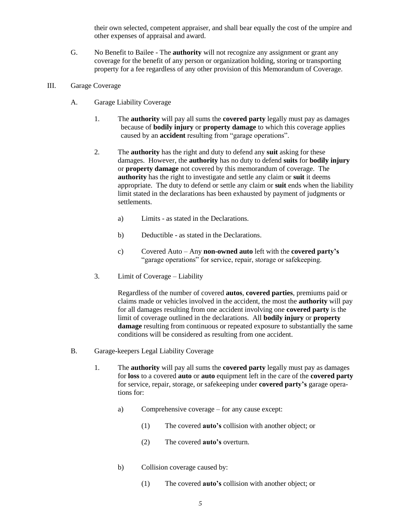their own selected, competent appraiser, and shall bear equally the cost of the umpire and other expenses of appraisal and award.

- G. No Benefit to Bailee The **authority** will not recognize any assignment or grant any coverage for the benefit of any person or organization holding, storing or transporting property for a fee regardless of any other provision of this Memorandum of Coverage.
- III. Garage Coverage
	- A. Garage Liability Coverage
		- 1. The **authority** will pay all sums the **covered party** legally must pay as damages because of **bodily injury** or **property damage** to which this coverage applies caused by an **accident** resulting from "garage operations".
		- 2. The **authority** has the right and duty to defend any **suit** asking for these damages. However, the **authority** has no duty to defend **suits** for **bodily injury** or **property damage** not covered by this memorandum of coverage. The **authority** has the right to investigate and settle any claim or **suit** it deems appropriate. The duty to defend or settle any claim or **suit** ends when the liability limit stated in the declarations has been exhausted by payment of judgments or settlements.
			- a) Limits as stated in the Declarations.
			- b) Deductible as stated in the Declarations.
			- c) Covered Auto Any **non-owned auto** left with the **covered party's** "garage operations" for service, repair, storage or safekeeping.
		- 3. Limit of Coverage Liability

Regardless of the number of covered **autos**, **covered parties**, premiums paid or claims made or vehicles involved in the accident, the most the **authority** will pay for all damages resulting from one accident involving one **covered party** is the limit of coverage outlined in the declarations. All **bodily injury** or **property damage** resulting from continuous or repeated exposure to substantially the same conditions will be considered as resulting from one accident.

- B. Garage-keepers Legal Liability Coverage
	- 1. The **authority** will pay all sums the **covered party** legally must pay as damages for **loss** to a covered **auto** or **auto** equipment left in the care of the **covered party** for service, repair, storage, or safekeeping under **covered party's** garage operations for:
		- a) Comprehensive coverage for any cause except:
			- (1) The covered **auto's** collision with another object; or
			- (2) The covered **auto's** overturn.
		- b) Collision coverage caused by:
			- (1) The covered **auto's** collision with another object; or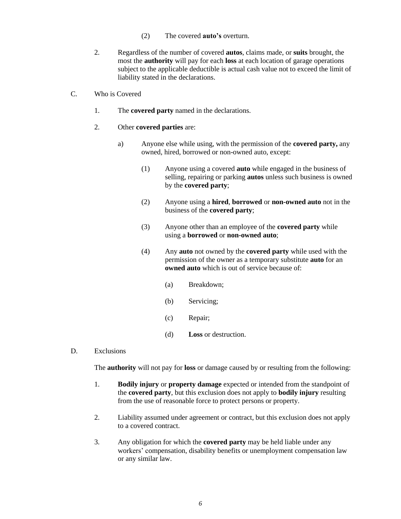- (2) The covered **auto's** overturn.
- 2. Regardless of the number of covered **autos**, claims made, or **suits** brought, the most the **authority** will pay for each **loss** at each location of garage operations subject to the applicable deductible is actual cash value not to exceed the limit of liability stated in the declarations.
- C. Who is Covered
	- 1. The **covered party** named in the declarations.
	- 2. Other **covered parties** are:
		- a) Anyone else while using, with the permission of the **covered party,** any owned, hired, borrowed or non-owned auto, except:
			- (1) Anyone using a covered **auto** while engaged in the business of selling, repairing or parking **autos** unless such business is owned by the **covered party**;
			- (2) Anyone using a **hired**, **borrowed** or **non-owned auto** not in the business of the **covered party**;
			- (3) Anyone other than an employee of the **covered party** while using a **borrowed** or **non-owned auto**;
			- (4) Any **auto** not owned by the **covered party** while used with the permission of the owner as a temporary substitute **auto** for an **owned auto** which is out of service because of:
				- (a) Breakdown;
				- (b) Servicing;
				- (c) Repair;
				- (d) **Loss** or destruction.
- D. Exclusions

The **authority** will not pay for **loss** or damage caused by or resulting from the following:

- 1. **Bodily injury** or **property damage** expected or intended from the standpoint of the **covered party**, but this exclusion does not apply to **bodily injury** resulting from the use of reasonable force to protect persons or property.
- 2. Liability assumed under agreement or contract, but this exclusion does not apply to a covered contract.
- 3. Any obligation for which the **covered party** may be held liable under any workers' compensation, disability benefits or unemployment compensation law or any similar law.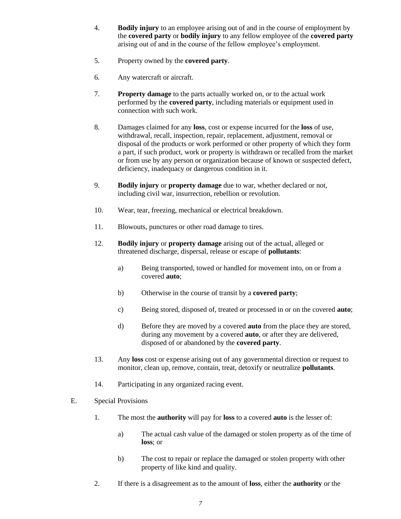- 4. **Bodily injury** to an employee arising out of and in the course of employment by the **covered party** or **bodily injury** to any fellow employee of the **covered party** arising out of and in the course of the fellow employee's employment.
- 5. Property owned by the **covered party**.
- 6. Any watercraft or aircraft.
- 7. **Property damage** to the parts actually worked on, or to the actual work performed by the **covered party**, including materials or equipment used in connection with such work.
- 8. Damages claimed for any **loss**, cost or expense incurred for the **loss** of use, withdrawal, recall, inspection, repair, replacement, adjustment, removal or disposal of the products or work performed or other property of which they form a part, if such product, work or property is withdrawn or recalled from the market or from use by any person or organization because of known or suspected defect, deficiency, inadequacy or dangerous condition in it.
- 9. **Bodily injury** or **property damage** due to war, whether declared or not, including civil war, insurrection, rebellion or revolution.
- 10. Wear, tear, freezing, mechanical or electrical breakdown.
- 11. Blowouts, punctures or other road damage to tires.
- 12. **Bodily injury** or **property damage** arising out of the actual, alleged or threatened discharge, dispersal, release or escape of **pollutants**:
	- a) Being transported, towed or handled for movement into, on or from a covered **auto**;
	- b) Otherwise in the course of transit by a **covered party**;
	- c) Being stored, disposed of, treated or processed in or on the covered **auto**;
	- d) Before they are moved by a covered **auto** from the place they are stored, during any movement by a covered **auto**, or after they are delivered, disposed of or abandoned by the **covered party**.
- 13. Any **loss** cost or expense arising out of any governmental direction or request to monitor, clean up, remove, contain, treat, detoxify or neutralize **pollutants**.
- 14. Participating in any organized racing event.
- E. Special Provisions
	- 1. The most the **authority** will pay for **loss** to a covered **auto** is the lesser of:
		- a) The actual cash value of the damaged or stolen property as of the time of **loss**; or
		- b) The cost to repair or replace the damaged or stolen property with other property of like kind and quality.
	- 2. If there is a disagreement as to the amount of **loss**, either the **authority** or the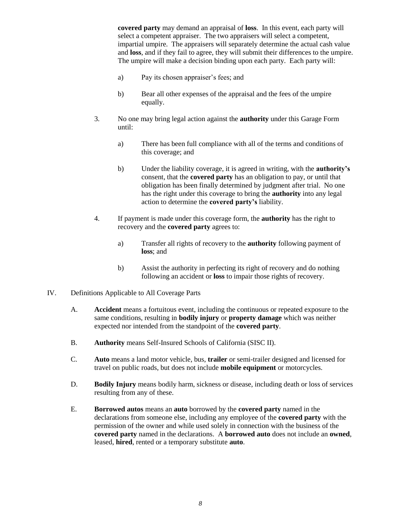**covered party** may demand an appraisal of **loss**. In this event, each party will select a competent appraiser. The two appraisers will select a competent, impartial umpire. The appraisers will separately determine the actual cash value and **loss**, and if they fail to agree, they will submit their differences to the umpire. The umpire will make a decision binding upon each party. Each party will:

- a) Pay its chosen appraiser's fees; and
- b) Bear all other expenses of the appraisal and the fees of the umpire equally.
- 3. No one may bring legal action against the **authority** under this Garage Form until:
	- a) There has been full compliance with all of the terms and conditions of this coverage; and
	- b) Under the liability coverage, it is agreed in writing, with the **authority's** consent, that the **covered party** has an obligation to pay, or until that obligation has been finally determined by judgment after trial. No one has the right under this coverage to bring the **authority** into any legal action to determine the **covered party's** liability.
- 4. If payment is made under this coverage form, the **authority** has the right to recovery and the **covered party** agrees to:
	- a) Transfer all rights of recovery to the **authority** following payment of **loss**; and
	- b) Assist the authority in perfecting its right of recovery and do nothing following an accident or **loss** to impair those rights of recovery.
- IV. Definitions Applicable to All Coverage Parts
	- A. **Accident** means a fortuitous event, including the continuous or repeated exposure to the same conditions, resulting in **bodily injury** or **property damage** which was neither expected nor intended from the standpoint of the **covered party**.
	- B. **Authority** means Self-Insured Schools of California (SISC II).
	- C. **Auto** means a land motor vehicle, bus, **trailer** or semi-trailer designed and licensed for travel on public roads, but does not include **mobile equipment** or motorcycles.
	- D. **Bodily Injury** means bodily harm, sickness or disease, including death or loss of services resulting from any of these.
	- E. **Borrowed autos** means an **auto** borrowed by the **covered party** named in the declarations from someone else, including any employee of the **covered party** with the permission of the owner and while used solely in connection with the business of the **covered party** named in the declarations. A **borrowed auto** does not include an **owned**, leased, **hired**, rented or a temporary substitute **auto**.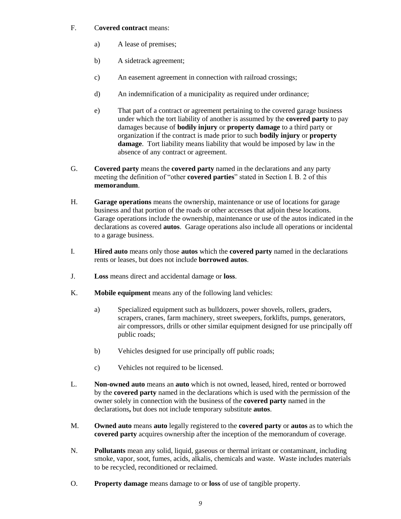## F. C**overed contract** means:

- a) A lease of premises;
- b) A sidetrack agreement;
- c) An easement agreement in connection with railroad crossings;
- d) An indemnification of a municipality as required under ordinance;
- e) That part of a contract or agreement pertaining to the covered garage business under which the tort liability of another is assumed by the **covered party** to pay damages because of **bodily injury** or **property damage** to a third party or organization if the contract is made prior to such **bodily injury** or **property damage**. Tort liability means liability that would be imposed by law in the absence of any contract or agreement.
- G. **Covered party** means the **covered party** named in the declarations and any party meeting the definition of "other **covered parties**" stated in Section I. B. 2 of this **memorandum**.
- H. **Garage operations** means the ownership, maintenance or use of locations for garage business and that portion of the roads or other accesses that adjoin these locations. Garage operations include the ownership, maintenance or use of the autos indicated in the declarations as covered **autos**. Garage operations also include all operations or incidental to a garage business.
- I. **Hired auto** means only those **autos** which the **covered party** named in the declarations rents or leases, but does not include **borrowed autos**.
- J. **Loss** means direct and accidental damage or **loss**.
- K. **Mobile equipment** means any of the following land vehicles:
	- a) Specialized equipment such as bulldozers, power shovels, rollers, graders, scrapers, cranes, farm machinery, street sweepers, forklifts, pumps, generators, air compressors, drills or other similar equipment designed for use principally off public roads;
	- b) Vehicles designed for use principally off public roads;
	- c) Vehicles not required to be licensed.
- L. **Non-owned auto** means an **auto** which is not owned, leased, hired, rented or borrowed by the **covered party** named in the declarations which is used with the permission of the owner solely in connection with the business of the **covered party** named in the declarations**,** but does not include temporary substitute **autos**.
- M. **Owned auto** means **auto** legally registered to the **covered party** or **autos** as to which the **covered party** acquires ownership after the inception of the memorandum of coverage.
- N. **Pollutants** mean any solid, liquid, gaseous or thermal irritant or contaminant, including smoke, vapor, soot, fumes, acids, alkalis, chemicals and waste. Waste includes materials to be recycled, reconditioned or reclaimed.
- O. **Property damage** means damage to or **loss** of use of tangible property.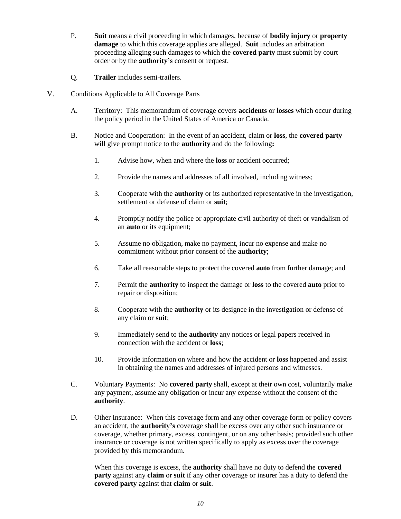- P. **Suit** means a civil proceeding in which damages, because of **bodily injury** or **property damage** to which this coverage applies are alleged. **Suit** includes an arbitration proceeding alleging such damages to which the **covered party** must submit by court order or by the **authority's** consent or request.
- Q. **Trailer** includes semi-trailers.
- V. Conditions Applicable to All Coverage Parts
	- A. Territory: This memorandum of coverage covers **accidents** or **losses** which occur during the policy period in the United States of America or Canada.
	- B. Notice and Cooperation: In the event of an accident, claim or **loss**, the **covered party** will give prompt notice to the **authority** and do the following**:**
		- 1. Advise how, when and where the **loss** or accident occurred;
		- 2. Provide the names and addresses of all involved, including witness;
		- 3. Cooperate with the **authority** or its authorized representative in the investigation, settlement or defense of claim or **suit**;
		- 4. Promptly notify the police or appropriate civil authority of theft or vandalism of an **auto** or its equipment;
		- 5. Assume no obligation, make no payment, incur no expense and make no commitment without prior consent of the **authority**;
		- 6. Take all reasonable steps to protect the covered **auto** from further damage; and
		- 7. Permit the **authority** to inspect the damage or **loss** to the covered **auto** prior to repair or disposition;
		- 8. Cooperate with the **authority** or its designee in the investigation or defense of any claim or **suit**;
		- 9. Immediately send to the **authority** any notices or legal papers received in connection with the accident or **loss**;
		- 10. Provide information on where and how the accident or **loss** happened and assist in obtaining the names and addresses of injured persons and witnesses.
	- C. Voluntary Payments: No **covered party** shall, except at their own cost, voluntarily make any payment, assume any obligation or incur any expense without the consent of the **authority**.
	- D. Other Insurance: When this coverage form and any other coverage form or policy covers an accident, the **authority's** coverage shall be excess over any other such insurance or coverage, whether primary, excess, contingent, or on any other basis; provided such other insurance or coverage is not written specifically to apply as excess over the coverage provided by this memorandum.

When this coverage is excess, the **authority** shall have no duty to defend the **covered party** against any **claim** or **suit** if any other coverage or insurer has a duty to defend the **covered party** against that **claim** or **suit**.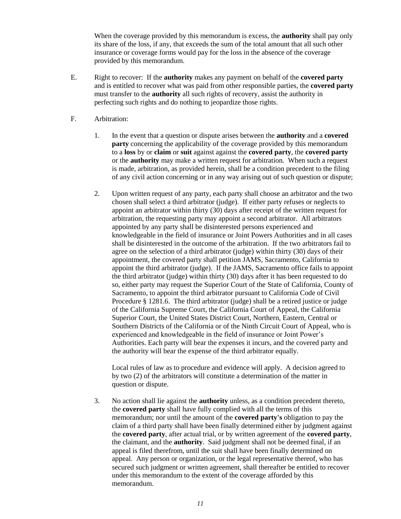When the coverage provided by this memorandum is excess, the **authority** shall pay only its share of the loss, if any, that exceeds the sum of the total amount that all such other insurance or coverage forms would pay for the loss in the absence of the coverage provided by this memorandum.

- E. Right to recover: If the **authority** makes any payment on behalf of the **covered party** and is entitled to recover what was paid from other responsible parties, the **covered party** must transfer to the **authority** all such rights of recovery, assist the authority in perfecting such rights and do nothing to jeopardize those rights.
- F. Arbitration:
	- 1. In the event that a question or dispute arises between the **authority** and a **covered party** concerning the applicability of the coverage provided by this memorandum to a **loss** by or **claim** or **suit** against against the **covered party**, the **covered party** or the **authority** may make a written request for arbitration. When such a request is made, arbitration, as provided herein, shall be a condition precedent to the filing of any civil action concerning or in any way arising out of such question or dispute;
	- 2. Upon written request of any party, each party shall choose an arbitrator and the two chosen shall select a third arbitrator (judge). If either party refuses or neglects to appoint an arbitrator within thirty (30) days after receipt of the written request for arbitration, the requesting party may appoint a second arbitrator. All arbitrators appointed by any party shall be disinterested persons experienced and knowledgeable in the field of insurance or Joint Powers Authorities and in all cases shall be disinterested in the outcome of the arbitration. If the two arbitrators fail to agree on the selection of a third arbitrator (judge) within thirty (30) days of their appointment, the covered party shall petition JAMS, Sacramento, California to appoint the third arbitrator (judge). If the JAMS, Sacramento office fails to appoint the third arbitrator (judge) within thirty (30) days after it has been requested to do so, either party may request the Superior Court of the State of California, County of Sacramento, to appoint the third arbitrator pursuant to California Code of Civil Procedure § 1281.6. The third arbitrator (judge) shall be a retired justice or judge of the California Supreme Court, the California Court of Appeal, the California Superior Court, the United States District Court, Northern, Eastern, Central or Southern Districts of the California or of the Ninth Circuit Court of Appeal, who is experienced and knowledgeable in the field of insurance or Joint Power's Authorities. Each party will bear the expenses it incurs, and the covered party and the authority will bear the expense of the third arbitrator equally.

Local rules of law as to procedure and evidence will apply. A decision agreed to by two (2) of the arbitrators will constitute a determination of the matter in question or dispute.

3. No action shall lie against the **authority** unless, as a condition precedent thereto, the **covered party** shall have fully complied with all the terms of this memorandum; nor until the amount of the **covered party's** obligation to pay the claim of a third party shall have been finally determined either by judgment against the **covered party**, after actual trial, or by written agreement of the **covered party**, the claimant, and the **authority**. Said judgment shall not be deemed final, if an appeal is filed therefrom, until the suit shall have been finally determined on appeal. Any person or organization, or the legal representative thereof, who has secured such judgment or written agreement, shall thereafter be entitled to recover under this memorandum to the extent of the coverage afforded by this memorandum.